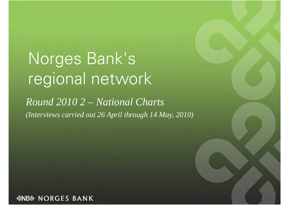## Norges Bank's regional network

*Round 2010 2 – National Charts*  (Interviews carried out 26 April through 14 May, 2010)

*&NB& NORGES BANK*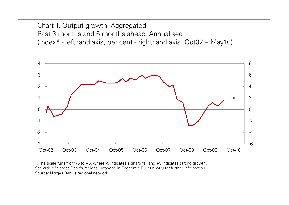Chart 1. Output growth. Aggregated Past 3 months and 6 months ahead. Annualised (Index\* - lefthand axis, per cent - righthand axis. Oct02 – May10)

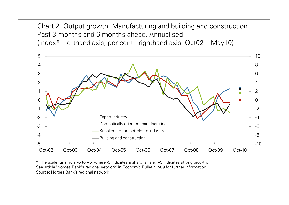Chart 2. Output growth. Manufacturing and building and construction Past 3 months and 6 months ahead. Annualised (Index\* - lefthand axis, per cent - righthand axis. Oct02 – May10)

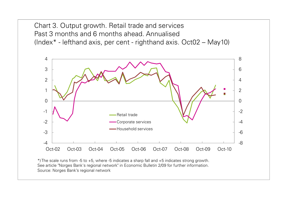Chart 3. Output growth. Retail trade and services Past 3 months and 6 months ahead. Annualised (Index\* - lefthand axis, per cent - righthand axis. Oct02 – May10)

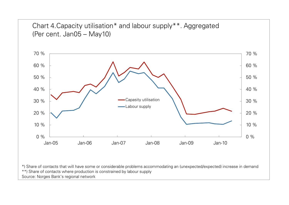



\*) Share of contacts that will have some or considerable problems accommodating an (unexpected/expected) increase in demand \*\*) Share of contacts where production is constrained by labour supply Source: Norges Bank's regional network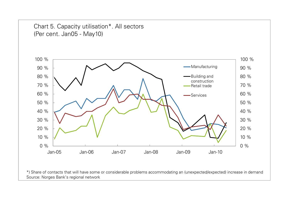

\*) Share of contacts that will have some or considerable problems accommodating an (unexpected/expected) increase in demand Source: Norges Bank's regional network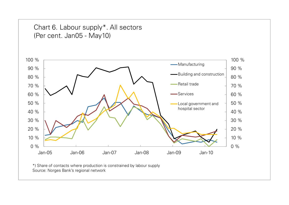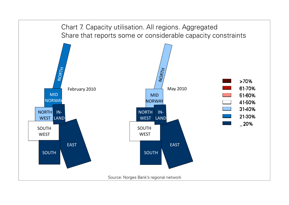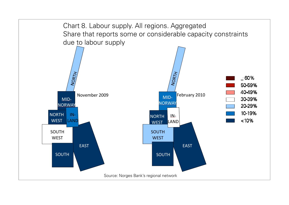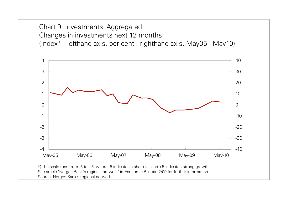Chart 9. Investments. Aggregated Changes in investments next 12 months (Index\* - lefthand axis, per cent - righthand axis. May05 - May10)

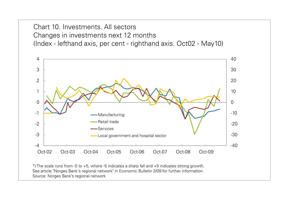Chart 10. Investments. All sectors Changes in investments next 12 months (Index - lefthand axis, per cent - righthand axis. Oct02 - May10)

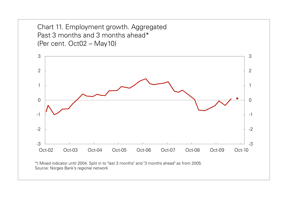Chart 11. Employment growth. Aggregated Past 3 months and 3 months ahead\* (Per cent. Oct02 – May10)



\*) Mixed indicator until 2004. Split in to "last 3 months" and "3 months ahead" as from 2005. Source: Norges Bank's regional network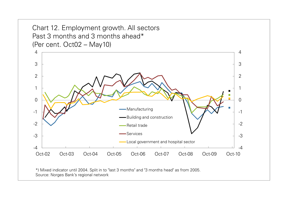Chart 12. Employment growth. All sectors Past 3 months and 3 months ahead\* (Per cent. Oct02 – May10)



\*) Mixed indicator until 2004. Split in to "last 3 months" and "3 months head" as from 2005. Source: Norges Bank's regional network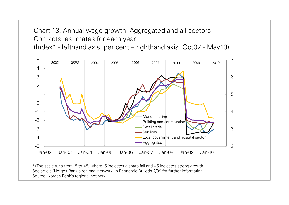Chart 13. Annual wage growth. Aggregated and all sectors Contacts' estimates for each year (Index\* - lefthand axis, per cent – righthand axis. Oct02 - May10)

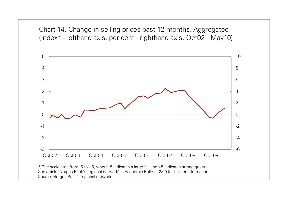Chart 14. Change in selling prices past 12 months. Aggregated (Index\* - lefthand axis, per cent - righthand axis. Oct02 - May10)

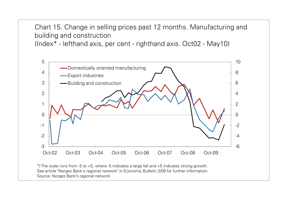Chart 15. Change in selling prices past 12 months. Manufacturing and building and construction

(Index\* - lefthand axis, per cent - righthand axis. Oct02 - May10)

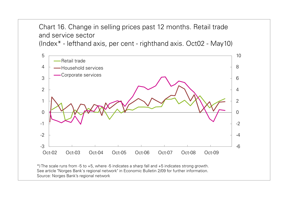Chart 16. Change in selling prices past 12 months. Retail trade and service sector

(Index\* - lefthand axis, per cent - righthand axis. Oct02 - May10)

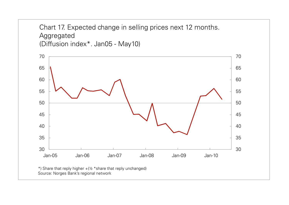Chart 17. Expected change in selling prices next 12 months. Aggregated (Diffusion index\*. Jan05 - May10)

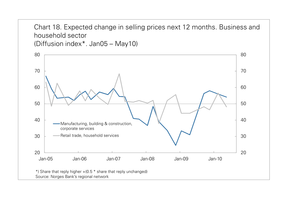Chart 18. Expected change in selling prices next 12 months. Business and household sector